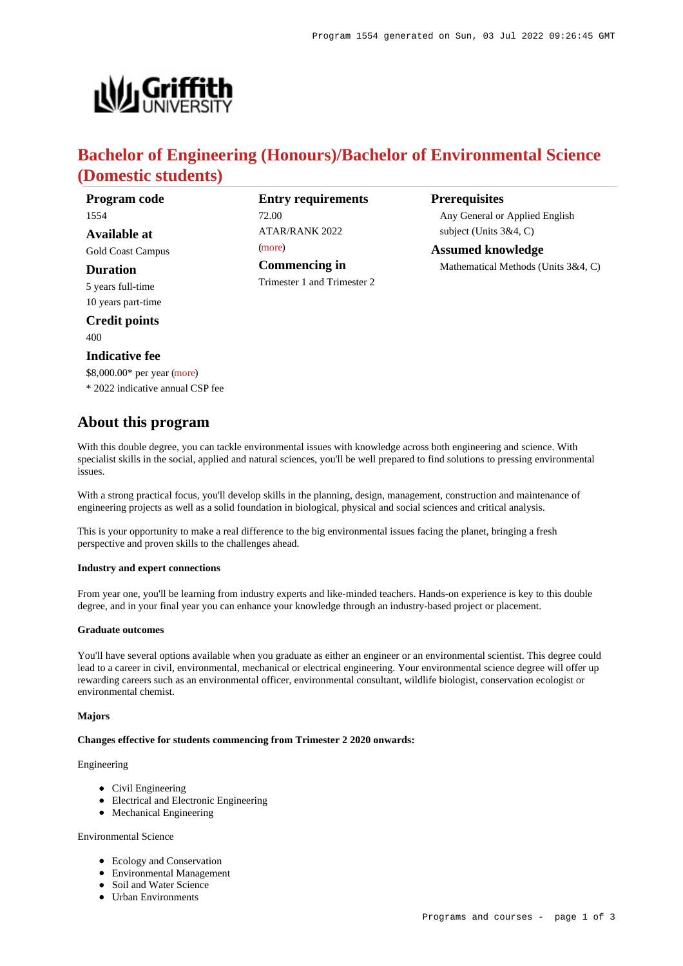

# **Bachelor of Engineering (Honours)/Bachelor of Environmental Science (Domestic students)**

**Program code** 1554

**Available at** Gold Coast Campus

**Duration**

5 years full-time 10 years part-time

**Credit points** 400

# **Indicative fee**

\$8,000.00\* per year [\(more](https://www148.griffith.edu.au/programs-courses/Program/1554/Overview/Domestic#fees)) \* 2022 indicative annual CSP fee

# **About this program**

With this double degree, you can tackle environmental issues with knowledge across both engineering and science. With specialist skills in the social, applied and natural sciences, you'll be well prepared to find solutions to pressing environmental issues.

With a strong practical focus, you'll develop skills in the planning, design, management, construction and maintenance of engineering projects as well as a solid foundation in biological, physical and social sciences and critical analysis.

This is your opportunity to make a real difference to the big environmental issues facing the planet, bringing a fresh perspective and proven skills to the challenges ahead.

#### **Industry and expert connections**

From year one, you'll be learning from industry experts and like-minded teachers. Hands-on experience is key to this double degree, and in your final year you can enhance your knowledge through an industry-based project or placement.

#### **Graduate outcomes**

You'll have several options available when you graduate as either an engineer or an environmental scientist. This degree could lead to a career in civil, environmental, mechanical or electrical engineering. Your environmental science degree will offer up rewarding careers such as an environmental officer, environmental consultant, wildlife biologist, conservation ecologist or environmental chemist.

#### **Majors**

#### **Changes effective for students commencing from Trimester 2 2020 onwards:**

# Engineering

- Civil Engineering
- Electrical and Electronic Engineering
- Mechanical Engineering

# Environmental Science

- Ecology and Conservation
- Environmental Management
- Soil and Water Science
- Urban Environments

| <b>ATAR/RANK 2022</b> |
|-----------------------|
| (more)                |
| <b>Commencing in</b>  |

Trimester 1 and Trimester 2

**Entry requirements**

72.00

**Prerequisites**

Any General or Applied English subject (Units 3&4, C)

**Assumed knowledge** Mathematical Methods (Units 3&4, C)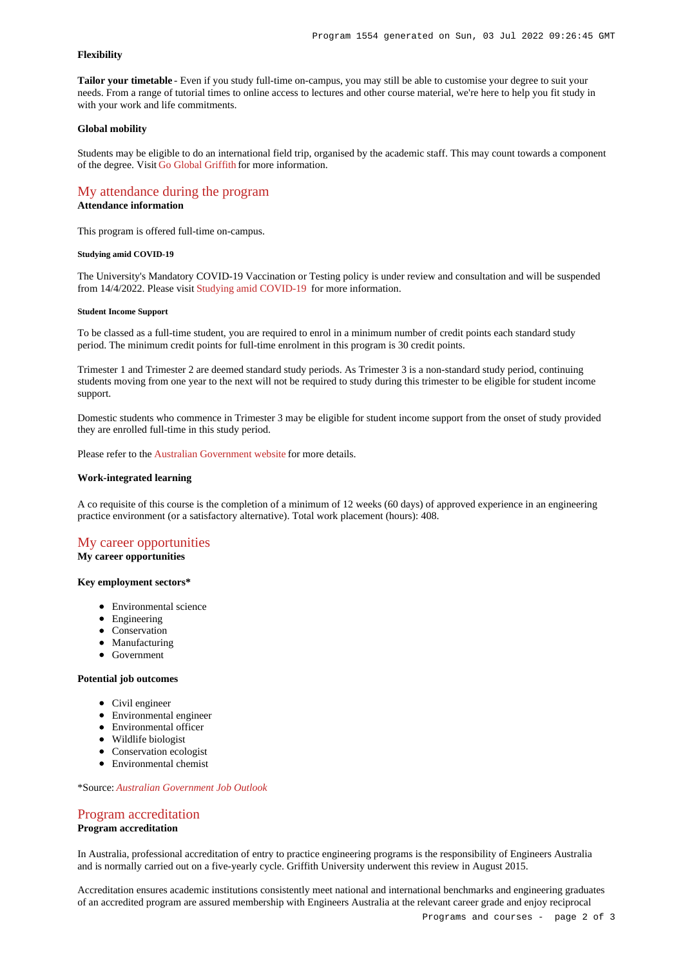### **Flexibility**

**Tailor your timetable** - Even if you study full-time on-campus, you may still be able to customise your degree to suit your needs. From a range of tutorial times to online access to lectures and other course material, we're here to help you fit study in with your work and life commitments.

#### **Global mobility**

Students may be eligible to do an international field trip, organised by the academic staff. This may count towards a component of the degree. Visit [Go Global Griffith](https://www.griffith.edu.au/go-global) for more information.

# [My attendance during the program](https://www148.griffith.edu.au/programs-courses/Program/1554/Overview/Domestic#attendance)

# **Attendance information**

This program is offered full-time on-campus.

#### **Studying amid COVID-19**

The University's Mandatory COVID-19 Vaccination or Testing policy is under review and consultation and will be suspended from 14/4/2022. Please visit [Studying amid COVID-19](https://www.griffith.edu.au/coronavirus/studying-amid-covid-19) for more information.

#### **Student Income Support**

To be classed as a full-time student, you are required to enrol in a minimum number of credit points each standard study period. The minimum credit points for full-time enrolment in this program is 30 credit points.

Trimester 1 and Trimester 2 are deemed standard study periods. As Trimester 3 is a non-standard study period, continuing students moving from one year to the next will not be required to study during this trimester to be eligible for student income support.

Domestic students who commence in Trimester 3 may be eligible for student income support from the onset of study provided they are enrolled full-time in this study period.

Please refer to the [Australian Government website](https://www.humanservices.gov.au/customer/dhs/centrelink) for more details.

#### **Work-integrated learning**

A co requisite of this course is the completion of a minimum of 12 weeks (60 days) of approved experience in an engineering practice environment (or a satisfactory alternative). Total work placement (hours): 408.

# [My career opportunities](https://www148.griffith.edu.au/programs-courses/Program/1554/Overview/Domestic#opportunities)

# **My career opportunities**

## **Key employment sectors\***

- Environmental science
- Engineering
- Conservation
- Manufacturing
- Government

#### **Potential job outcomes**

- Civil engineer
- Environmental engineer
- Environmental officer
- Wildlife biologist
- Conservation ecologist
- Environmental chemist

\*Source: *[Australian Government Job Outlook](https://joboutlook.gov.au/)*

# [Program accreditation](https://www148.griffith.edu.au/programs-courses/Program/1554/Overview/Domestic#accreditation)

**Program accreditation**

In Australia, professional accreditation of entry to practice engineering programs is the responsibility of Engineers Australia and is normally carried out on a five-yearly cycle. Griffith University underwent this review in August 2015.

Accreditation ensures academic institutions consistently meet national and international benchmarks and engineering graduates of an accredited program are assured membership with Engineers Australia at the relevant career grade and enjoy reciprocal